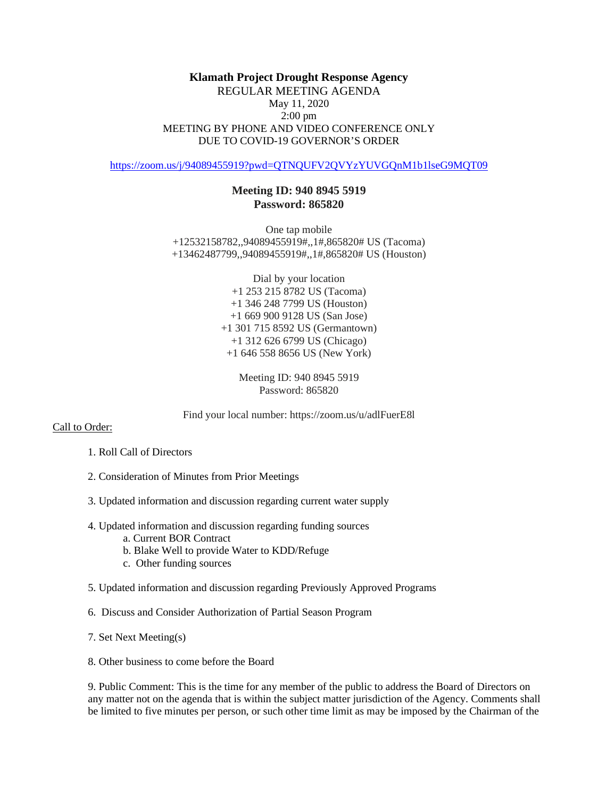## **Klamath Project Drought Response Agency** REGULAR MEETING AGENDA May 11, 2020 2:00 pm MEETING BY PHONE AND VIDEO CONFERENCE ONLY DUE TO COVID-19 GOVERNOR'S ORDER

<https://zoom.us/j/94089455919?pwd=QTNQUFV2QVYzYUVGQnM1b1lseG9MQT09>

## **Meeting ID: 940 8945 5919 Password: 865820**

One tap mobile +12532158782,,94089455919#,,1#,865820# US (Tacoma) +13462487799,,94089455919#,,1#,865820# US (Houston)

> Dial by your location +1 253 215 8782 US (Tacoma) +1 346 248 7799 US (Houston) +1 669 900 9128 US (San Jose) +1 301 715 8592 US (Germantown) +1 312 626 6799 US (Chicago) +1 646 558 8656 US (New York)

> > Meeting ID: 940 8945 5919 Password: 865820

Find your local number: https://zoom.us/u/adlFuerE8l

## Call to Order:

- 1. Roll Call of Directors
- 2. Consideration of Minutes from Prior Meetings
- 3. Updated information and discussion regarding current water supply
- 4. Updated information and discussion regarding funding sources
	- a. Current BOR Contract
	- b. Blake Well to provide Water to KDD/Refuge
	- c. Other funding sources
- 5. Updated information and discussion regarding Previously Approved Programs
- 6. Discuss and Consider Authorization of Partial Season Program
- 7. Set Next Meeting(s)
- 8. Other business to come before the Board

9. Public Comment: This is the time for any member of the public to address the Board of Directors on any matter not on the agenda that is within the subject matter jurisdiction of the Agency. Comments shall be limited to five minutes per person, or such other time limit as may be imposed by the Chairman of the